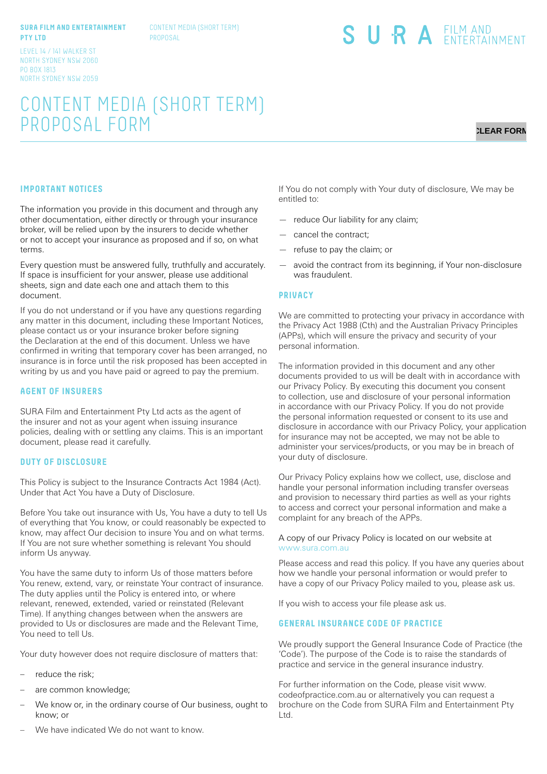#### **SURA FILM AND ENTERTAINMENT PTY LTD**

CONTENT MEDIA (SHORT TERM) PROPOSAL

#### LEVEL 14 / 141 WALKER ST NORTH SYDNEY NSW 2060 PO BOX 1813 NORTH SYDNEY NSW 2059

# CONTENT MEDIA (SHORT TERM) PROPOSAL FORM

# **CLEAR FORM**

## **IMPORTANT NOTICES**

The information you provide in this document and through any other documentation, either directly or through your insurance broker, will be relied upon by the insurers to decide whether or not to accept your insurance as proposed and if so, on what terms.

Every question must be answered fully, truthfully and accurately. If space is insufficient for your answer, please use additional sheets, sign and date each one and attach them to this document.

If you do not understand or if you have any questions regarding any matter in this document, including these Important Notices, please contact us or your insurance broker before signing the Declaration at the end of this document. Unless we have confirmed in writing that temporary cover has been arranged, no insurance is in force until the risk proposed has been accepted in writing by us and you have paid or agreed to pay the premium.

#### **AGENT OF INSURERS**

SURA Film and Entertainment Pty Ltd acts as the agent of the insurer and not as your agent when issuing insurance policies, dealing with or settling any claims. This is an important document, please read it carefully.

#### **DUTY OF DISCLOSURE**

This Policy is subject to the Insurance Contracts Act 1984 (Act). Under that Act You have a Duty of Disclosure.

Before You take out insurance with Us, You have a duty to tell Us of everything that You know, or could reasonably be expected to know, may affect Our decision to insure You and on what terms. If You are not sure whether something is relevant You should inform Us anyway.

You have the same duty to inform Us of those matters before You renew, extend, vary, or reinstate Your contract of insurance. The duty applies until the Policy is entered into, or where relevant, renewed, extended, varied or reinstated (Relevant Time). If anything changes between when the answers are provided to Us or disclosures are made and the Relevant Time, You need to tell Us.

Your duty however does not require disclosure of matters that:

- reduce the risk;
- are common knowledge;
- We know or, in the ordinary course of Our business, ought to know; or

If You do not comply with Your duty of disclosure, We may be entitled to:

SURA EILM AND

- reduce Our liability for any claim;
- cancel the contract;
- refuse to pay the claim; or
- avoid the contract from its beginning, if Your non-disclosure was fraudulent.

#### **PRIVACY**

We are committed to protecting your privacy in accordance with the Privacy Act 1988 (Cth) and the Australian Privacy Principles (APPs), which will ensure the privacy and security of your personal information.

The information provided in this document and any other documents provided to us will be dealt with in accordance with our Privacy Policy. By executing this document you consent to collection, use and disclosure of your personal information in accordance with our Privacy Policy. If you do not provide the personal information requested or consent to its use and disclosure in accordance with our Privacy Policy, your application for insurance may not be accepted, we may not be able to administer your services/products, or you may be in breach of your duty of disclosure.

Our Privacy Policy explains how we collect, use, disclose and handle your personal information including transfer overseas and provision to necessary third parties as well as your rights to access and correct your personal information and make a complaint for any breach of the APPs.

#### A copy of our Privacy Policy is located on our website at www.sura.com.au

Please access and read this policy. If you have any queries about how we handle your personal information or would prefer to have a copy of our Privacy Policy mailed to you, please ask us.

If you wish to access your file please ask us.

### **GENERAL INSURANCE CODE OF PRACTICE**

We proudly support the General Insurance Code of Practice (the 'Code'). The purpose of the Code is to raise the standards of practice and service in the general insurance industry.

For further information on the Code, please visit www. codeofpractice.com.au or alternatively you can request a brochure on the Code from SURA Film and Entertainment Pty Ltd.

We have indicated We do not want to know.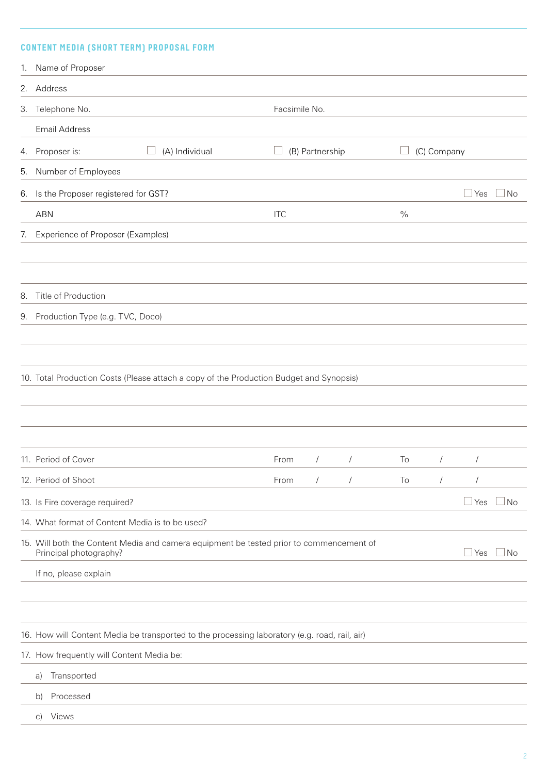# **CONTENT MEDIA (SHORT TERM) PROPOSAL FORM**

|    | 1. Name of Proposer                                                                                               |               |                 |            |      |                |                        |           |
|----|-------------------------------------------------------------------------------------------------------------------|---------------|-----------------|------------|------|----------------|------------------------|-----------|
| 2. | Address                                                                                                           |               |                 |            |      |                |                        |           |
| 3. | Telephone No.                                                                                                     | Facsimile No. |                 |            |      |                |                        |           |
|    | Email Address                                                                                                     |               |                 |            |      |                |                        |           |
| 4. | (A) Individual<br>Proposer is:                                                                                    |               | (B) Partnership |            |      | (C) Company    |                        |           |
| 5. | Number of Employees                                                                                               |               |                 |            |      |                |                        |           |
| 6. | Is the Proposer registered for GST?                                                                               |               |                 |            |      |                | $\Box$ Yes             | No        |
|    | <b>ABN</b>                                                                                                        | <b>ITC</b>    |                 |            | $\%$ |                |                        |           |
| 7. | Experience of Proposer (Examples)                                                                                 |               |                 |            |      |                |                        |           |
| 8. | Title of Production                                                                                               |               |                 |            |      |                |                        |           |
|    | 9. Production Type (e.g. TVC, Doco)                                                                               |               |                 |            |      |                |                        |           |
|    | 10. Total Production Costs (Please attach a copy of the Production Budget and Synopsis)                           |               |                 |            |      |                |                        |           |
|    | 11. Period of Cover                                                                                               | From          | $\sqrt{2}$      |            | To   |                | $\sqrt{2}$<br>$\prime$ |           |
|    | 12. Period of Shoot                                                                                               | From          | $\sqrt{2}$      | $\sqrt{2}$ | To   | $\overline{1}$ | $\sqrt{\phantom{a}}$   |           |
|    | 13. Is Fire coverage required?                                                                                    |               |                 |            |      |                | $\Box$ Yes             | No        |
|    | 14. What format of Content Media is to be used?                                                                   |               |                 |            |      |                |                        |           |
|    | 15. Will both the Content Media and camera equipment be tested prior to commencement of<br>Principal photography? |               |                 |            |      |                | $\Box$ Yes             | $\Box$ No |
|    | If no, please explain                                                                                             |               |                 |            |      |                |                        |           |
|    | 16. How will Content Media be transported to the processing laboratory (e.g. road, rail, air)                     |               |                 |            |      |                |                        |           |
|    | 17. How frequently will Content Media be:                                                                         |               |                 |            |      |                |                        |           |
|    | Transported<br>a)                                                                                                 |               |                 |            |      |                |                        |           |
|    | Processed<br>b)                                                                                                   |               |                 |            |      |                |                        |           |
|    | Views<br>$\vert$ C)                                                                                               |               |                 |            |      |                |                        |           |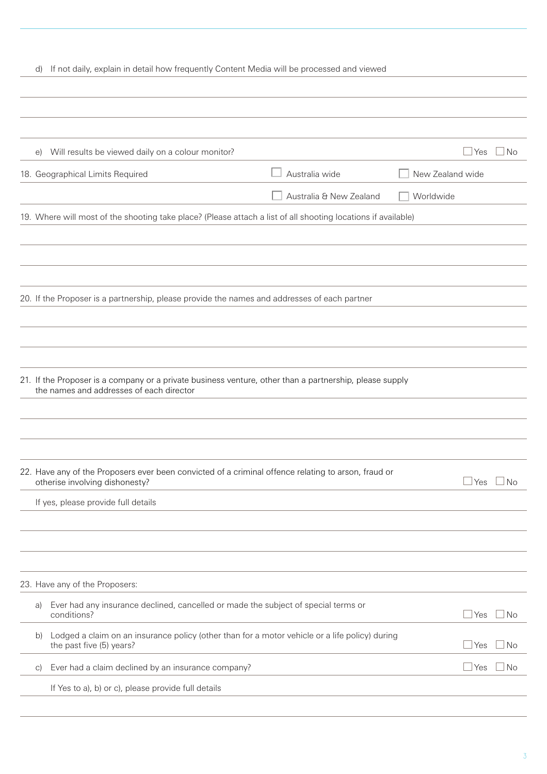# d) If not daily, explain in detail how frequently Content Media will be processed and viewed

| e)         | Will results be viewed daily on a colour monitor?                                                                                                   |                         |                  | $\Box$ Yes           | ⊥No  |
|------------|-----------------------------------------------------------------------------------------------------------------------------------------------------|-------------------------|------------------|----------------------|------|
|            | 18. Geographical Limits Required                                                                                                                    | Australia wide          | New Zealand wide |                      |      |
|            |                                                                                                                                                     | Australia & New Zealand | Worldwide        |                      |      |
|            | 19. Where will most of the shooting take place? (Please attach a list of all shooting locations if available)                                       |                         |                  |                      |      |
|            |                                                                                                                                                     |                         |                  |                      |      |
|            |                                                                                                                                                     |                         |                  |                      |      |
|            |                                                                                                                                                     |                         |                  |                      |      |
|            | 20. If the Proposer is a partnership, please provide the names and addresses of each partner                                                        |                         |                  |                      |      |
|            |                                                                                                                                                     |                         |                  |                      |      |
|            |                                                                                                                                                     |                         |                  |                      |      |
|            |                                                                                                                                                     |                         |                  |                      |      |
|            | 21. If the Proposer is a company or a private business venture, other than a partnership, please supply<br>the names and addresses of each director |                         |                  |                      |      |
|            |                                                                                                                                                     |                         |                  |                      |      |
|            |                                                                                                                                                     |                         |                  |                      |      |
|            |                                                                                                                                                     |                         |                  |                      |      |
|            | 22. Have any of the Proposers ever been convicted of a criminal offence relating to arson, fraud or<br>otherise involving dishonesty?               |                         |                  | $\sqcup$ Yes         | l No |
|            | If yes, please provide full details                                                                                                                 |                         |                  |                      |      |
|            |                                                                                                                                                     |                         |                  |                      |      |
|            |                                                                                                                                                     |                         |                  |                      |      |
|            |                                                                                                                                                     |                         |                  |                      |      |
|            | 23. Have any of the Proposers:                                                                                                                      |                         |                  |                      |      |
| a)         | Ever had any insurance declined, cancelled or made the subject of special terms or<br>conditions?                                                   |                         |                  | $\mathsf{\perp}$ Yes | No   |
| b)         | Lodged a claim on an insurance policy (other than for a motor vehicle or a life policy) during<br>the past five (5) years?                          |                         |                  | $\Box$ Yes           | No   |
| $\vert$ C) | Ever had a claim declined by an insurance company?                                                                                                  |                         |                  | $\Box$ Yes           | l No |
|            | If Yes to a), b) or c), please provide full details                                                                                                 |                         |                  |                      |      |
|            |                                                                                                                                                     |                         |                  |                      |      |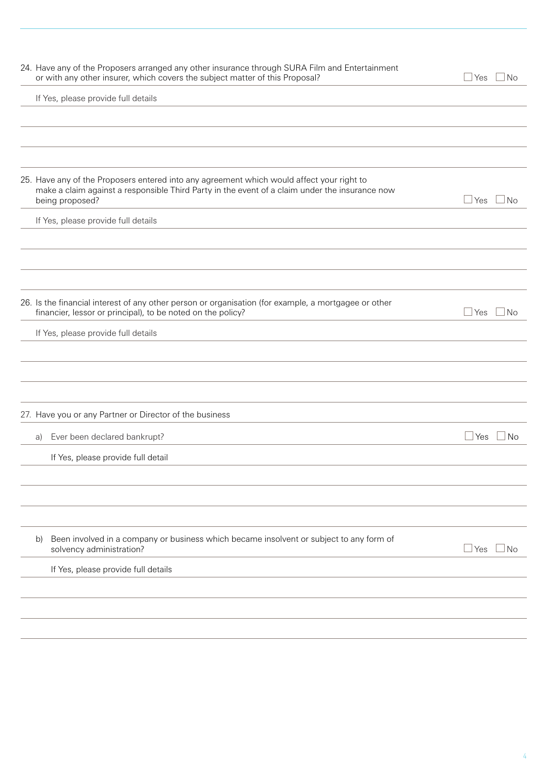| If Yes, please provide full details<br>25. Have any of the Proposers entered into any agreement which would affect your right to<br>make a claim against a responsible Third Party in the event of a claim under the insurance now<br>being proposed?<br>$\Box$ Yes<br>l No<br>If Yes, please provide full details<br>26. Is the financial interest of any other person or organisation (for example, a mortgagee or other<br>financier, lessor or principal), to be noted on the policy?<br>$\Box$ Yes<br>$\Box$ No<br>If Yes, please provide full details<br>27. Have you or any Partner or Director of the business<br>Ever been declared bankrupt?<br>$\Box$ Yes $\Box$ No<br>a)<br>If Yes, please provide full detail<br>Been involved in a company or business which became insolvent or subject to any form of<br>b)<br>$\Box$ Yes<br>$\Box$ No<br>solvency administration?<br>If Yes, please provide full details | 24. Have any of the Proposers arranged any other insurance through SURA Film and Entertainment<br>or with any other insurer, which covers the subject matter of this Proposal? | ⊿ Yes<br>$\Box$ No |
|---------------------------------------------------------------------------------------------------------------------------------------------------------------------------------------------------------------------------------------------------------------------------------------------------------------------------------------------------------------------------------------------------------------------------------------------------------------------------------------------------------------------------------------------------------------------------------------------------------------------------------------------------------------------------------------------------------------------------------------------------------------------------------------------------------------------------------------------------------------------------------------------------------------------------|--------------------------------------------------------------------------------------------------------------------------------------------------------------------------------|--------------------|
|                                                                                                                                                                                                                                                                                                                                                                                                                                                                                                                                                                                                                                                                                                                                                                                                                                                                                                                           |                                                                                                                                                                                |                    |
|                                                                                                                                                                                                                                                                                                                                                                                                                                                                                                                                                                                                                                                                                                                                                                                                                                                                                                                           |                                                                                                                                                                                |                    |
|                                                                                                                                                                                                                                                                                                                                                                                                                                                                                                                                                                                                                                                                                                                                                                                                                                                                                                                           |                                                                                                                                                                                |                    |
|                                                                                                                                                                                                                                                                                                                                                                                                                                                                                                                                                                                                                                                                                                                                                                                                                                                                                                                           |                                                                                                                                                                                |                    |
|                                                                                                                                                                                                                                                                                                                                                                                                                                                                                                                                                                                                                                                                                                                                                                                                                                                                                                                           |                                                                                                                                                                                |                    |
|                                                                                                                                                                                                                                                                                                                                                                                                                                                                                                                                                                                                                                                                                                                                                                                                                                                                                                                           |                                                                                                                                                                                |                    |
|                                                                                                                                                                                                                                                                                                                                                                                                                                                                                                                                                                                                                                                                                                                                                                                                                                                                                                                           |                                                                                                                                                                                |                    |
|                                                                                                                                                                                                                                                                                                                                                                                                                                                                                                                                                                                                                                                                                                                                                                                                                                                                                                                           |                                                                                                                                                                                |                    |
|                                                                                                                                                                                                                                                                                                                                                                                                                                                                                                                                                                                                                                                                                                                                                                                                                                                                                                                           |                                                                                                                                                                                |                    |
|                                                                                                                                                                                                                                                                                                                                                                                                                                                                                                                                                                                                                                                                                                                                                                                                                                                                                                                           |                                                                                                                                                                                |                    |
|                                                                                                                                                                                                                                                                                                                                                                                                                                                                                                                                                                                                                                                                                                                                                                                                                                                                                                                           |                                                                                                                                                                                |                    |
|                                                                                                                                                                                                                                                                                                                                                                                                                                                                                                                                                                                                                                                                                                                                                                                                                                                                                                                           |                                                                                                                                                                                |                    |
|                                                                                                                                                                                                                                                                                                                                                                                                                                                                                                                                                                                                                                                                                                                                                                                                                                                                                                                           |                                                                                                                                                                                |                    |
|                                                                                                                                                                                                                                                                                                                                                                                                                                                                                                                                                                                                                                                                                                                                                                                                                                                                                                                           |                                                                                                                                                                                |                    |
|                                                                                                                                                                                                                                                                                                                                                                                                                                                                                                                                                                                                                                                                                                                                                                                                                                                                                                                           |                                                                                                                                                                                |                    |
|                                                                                                                                                                                                                                                                                                                                                                                                                                                                                                                                                                                                                                                                                                                                                                                                                                                                                                                           |                                                                                                                                                                                |                    |
|                                                                                                                                                                                                                                                                                                                                                                                                                                                                                                                                                                                                                                                                                                                                                                                                                                                                                                                           |                                                                                                                                                                                |                    |
|                                                                                                                                                                                                                                                                                                                                                                                                                                                                                                                                                                                                                                                                                                                                                                                                                                                                                                                           |                                                                                                                                                                                |                    |
|                                                                                                                                                                                                                                                                                                                                                                                                                                                                                                                                                                                                                                                                                                                                                                                                                                                                                                                           |                                                                                                                                                                                |                    |
|                                                                                                                                                                                                                                                                                                                                                                                                                                                                                                                                                                                                                                                                                                                                                                                                                                                                                                                           |                                                                                                                                                                                |                    |
|                                                                                                                                                                                                                                                                                                                                                                                                                                                                                                                                                                                                                                                                                                                                                                                                                                                                                                                           |                                                                                                                                                                                |                    |
|                                                                                                                                                                                                                                                                                                                                                                                                                                                                                                                                                                                                                                                                                                                                                                                                                                                                                                                           |                                                                                                                                                                                |                    |
|                                                                                                                                                                                                                                                                                                                                                                                                                                                                                                                                                                                                                                                                                                                                                                                                                                                                                                                           |                                                                                                                                                                                |                    |
|                                                                                                                                                                                                                                                                                                                                                                                                                                                                                                                                                                                                                                                                                                                                                                                                                                                                                                                           |                                                                                                                                                                                |                    |
|                                                                                                                                                                                                                                                                                                                                                                                                                                                                                                                                                                                                                                                                                                                                                                                                                                                                                                                           |                                                                                                                                                                                |                    |